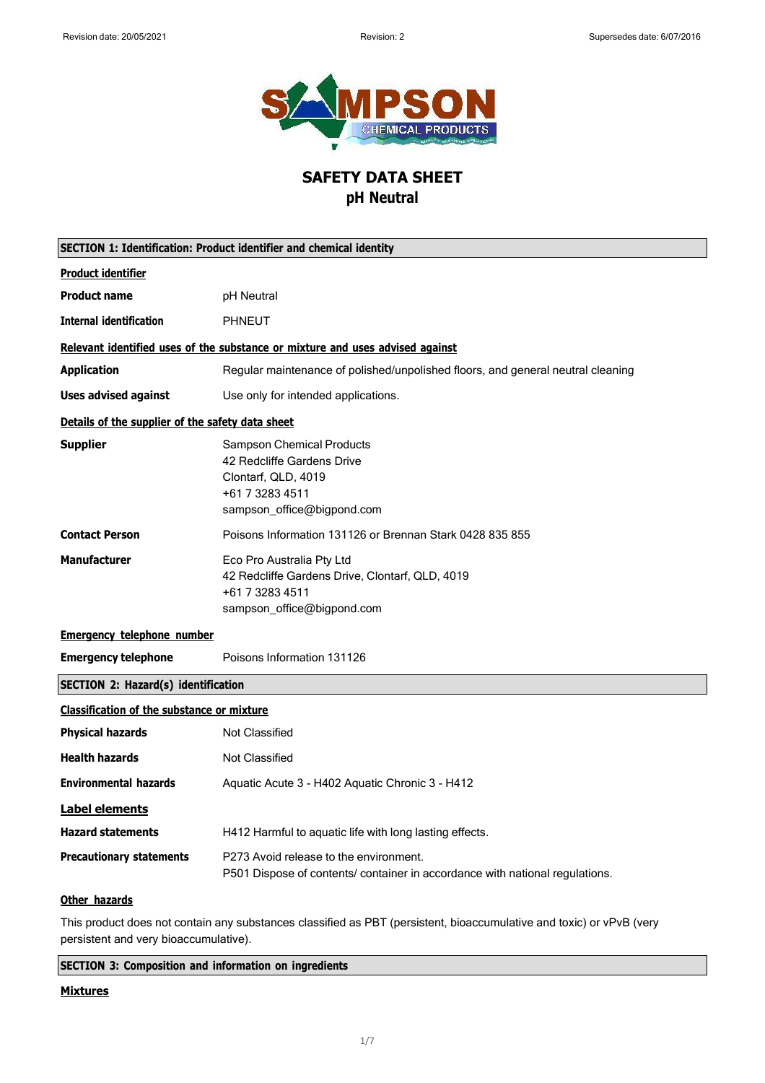

# **SAFETY DATA SHEET pH Neutral**

| SECTION 1: Identification: Product identifier and chemical identity |                                                                                                                                        |  |  |  |  |
|---------------------------------------------------------------------|----------------------------------------------------------------------------------------------------------------------------------------|--|--|--|--|
| <b>Product identifier</b>                                           |                                                                                                                                        |  |  |  |  |
| <b>Product name</b>                                                 | pH Neutral                                                                                                                             |  |  |  |  |
| <b>Internal identification</b>                                      | <b>PHNEUT</b>                                                                                                                          |  |  |  |  |
|                                                                     | Relevant identified uses of the substance or mixture and uses advised against                                                          |  |  |  |  |
| <b>Application</b>                                                  | Regular maintenance of polished/unpolished floors, and general neutral cleaning                                                        |  |  |  |  |
| <b>Uses advised against</b>                                         | Use only for intended applications.                                                                                                    |  |  |  |  |
| Details of the supplier of the safety data sheet                    |                                                                                                                                        |  |  |  |  |
| <b>Supplier</b>                                                     | <b>Sampson Chemical Products</b><br>42 Redcliffe Gardens Drive<br>Clontarf, QLD, 4019<br>+61 7 3283 4511<br>sampson office@bigpond.com |  |  |  |  |
| <b>Contact Person</b>                                               | Poisons Information 131126 or Brennan Stark 0428 835 855                                                                               |  |  |  |  |
| <b>Manufacturer</b>                                                 | Eco Pro Australia Pty Ltd<br>42 Redcliffe Gardens Drive, Clontarf, QLD, 4019<br>+61 7 3283 4511<br>sampson_office@bigpond.com          |  |  |  |  |
| <b>Emergency telephone number</b>                                   |                                                                                                                                        |  |  |  |  |
| <b>Emergency telephone</b>                                          | Poisons Information 131126                                                                                                             |  |  |  |  |
| <b>SECTION 2: Hazard(s) identification</b>                          |                                                                                                                                        |  |  |  |  |
| <b>Classification of the substance or mixture</b>                   |                                                                                                                                        |  |  |  |  |
| <b>Physical hazards</b>                                             | <b>Not Classified</b>                                                                                                                  |  |  |  |  |
| <b>Health hazards</b>                                               | <b>Not Classified</b>                                                                                                                  |  |  |  |  |
| <b>Environmental hazards</b>                                        | Aquatic Acute 3 - H402 Aquatic Chronic 3 - H412                                                                                        |  |  |  |  |
| <b>Label elements</b>                                               |                                                                                                                                        |  |  |  |  |
| <b>Hazard statements</b>                                            | H412 Harmful to aquatic life with long lasting effects.                                                                                |  |  |  |  |
| <b>Precautionary statements</b>                                     | P273 Avoid release to the environment.<br>P501 Dispose of contents/ container in accordance with national regulations.                 |  |  |  |  |
| Other hazards                                                       |                                                                                                                                        |  |  |  |  |

This product does not contain any substances classified as PBT (persistent, bioaccumulative and toxic) or vPvB (very persistent and very bioaccumulative).

**SECTION 3: Composition and information on ingredients**

### **Mixtures**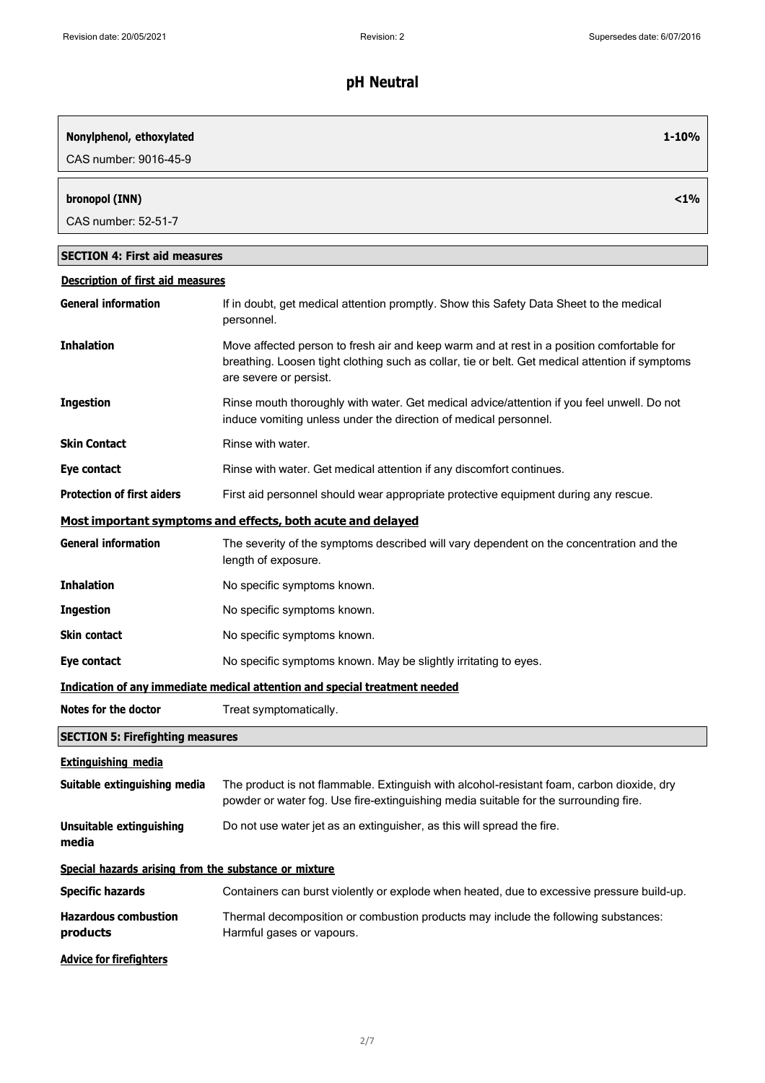| Nonylphenol, ethoxylated<br>CAS number: 9016-45-9     | $1 - 10%$                                                                                                                                                                                                              |
|-------------------------------------------------------|------------------------------------------------------------------------------------------------------------------------------------------------------------------------------------------------------------------------|
| bronopol (INN)<br>CAS number: 52-51-7                 | $< 1\%$                                                                                                                                                                                                                |
| <b>SECTION 4: First aid measures</b>                  |                                                                                                                                                                                                                        |
| <b>Description of first aid measures</b>              |                                                                                                                                                                                                                        |
| <b>General information</b>                            | If in doubt, get medical attention promptly. Show this Safety Data Sheet to the medical<br>personnel.                                                                                                                  |
| <b>Inhalation</b>                                     | Move affected person to fresh air and keep warm and at rest in a position comfortable for<br>breathing. Loosen tight clothing such as collar, tie or belt. Get medical attention if symptoms<br>are severe or persist. |
| <b>Ingestion</b>                                      | Rinse mouth thoroughly with water. Get medical advice/attention if you feel unwell. Do not<br>induce vomiting unless under the direction of medical personnel.                                                         |
| <b>Skin Contact</b>                                   | Rinse with water.                                                                                                                                                                                                      |
| Eye contact                                           | Rinse with water. Get medical attention if any discomfort continues.                                                                                                                                                   |
| <b>Protection of first aiders</b>                     | First aid personnel should wear appropriate protective equipment during any rescue.                                                                                                                                    |
|                                                       | Most important symptoms and effects, both acute and delayed                                                                                                                                                            |
| <b>General information</b>                            | The severity of the symptoms described will vary dependent on the concentration and the<br>length of exposure.                                                                                                         |
| <b>Inhalation</b>                                     | No specific symptoms known.                                                                                                                                                                                            |
| <b>Ingestion</b>                                      | No specific symptoms known.                                                                                                                                                                                            |
| <b>Skin contact</b>                                   | No specific symptoms known.                                                                                                                                                                                            |
| Eye contact                                           | No specific symptoms known. May be slightly irritating to eyes.                                                                                                                                                        |
|                                                       | Indication of any immediate medical attention and special treatment needed                                                                                                                                             |
| Notes for the doctor                                  | Treat symptomatically.                                                                                                                                                                                                 |
| <b>SECTION 5: Firefighting measures</b>               |                                                                                                                                                                                                                        |
| <b>Extinguishing media</b>                            |                                                                                                                                                                                                                        |
| Suitable extinguishing media                          | The product is not flammable. Extinguish with alcohol-resistant foam, carbon dioxide, dry<br>powder or water fog. Use fire-extinguishing media suitable for the surrounding fire.                                      |
| Unsuitable extinguishing<br>media                     | Do not use water jet as an extinguisher, as this will spread the fire.                                                                                                                                                 |
| Special hazards arising from the substance or mixture |                                                                                                                                                                                                                        |
| <b>Specific hazards</b>                               | Containers can burst violently or explode when heated, due to excessive pressure build-up.                                                                                                                             |
| <b>Hazardous combustion</b><br>products               | Thermal decomposition or combustion products may include the following substances:<br>Harmful gases or vapours.                                                                                                        |
| <b>Advice for firefighters</b>                        |                                                                                                                                                                                                                        |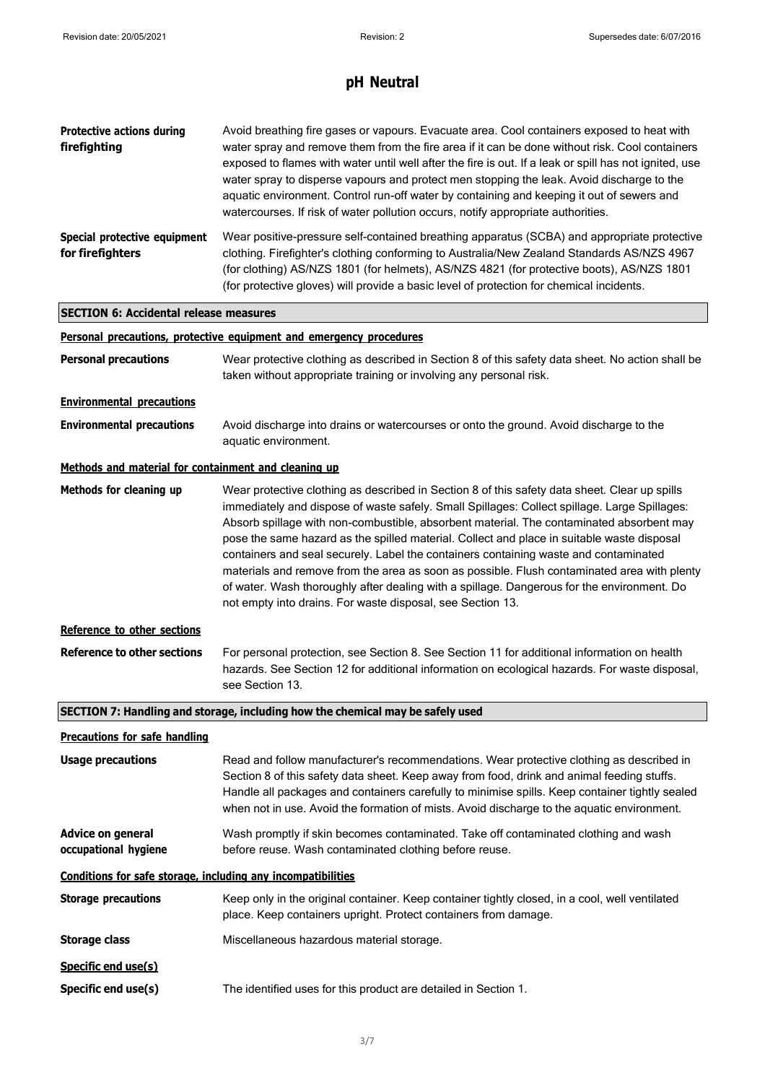| <b>Protective actions during</b><br>firefighting             | Avoid breathing fire gases or vapours. Evacuate area. Cool containers exposed to heat with<br>water spray and remove them from the fire area if it can be done without risk. Cool containers<br>exposed to flames with water until well after the fire is out. If a leak or spill has not ignited, use<br>water spray to disperse vapours and protect men stopping the leak. Avoid discharge to the<br>aquatic environment. Control run-off water by containing and keeping it out of sewers and<br>watercourses. If risk of water pollution occurs, notify appropriate authorities.                                                                                                                                                       |  |  |  |  |
|--------------------------------------------------------------|--------------------------------------------------------------------------------------------------------------------------------------------------------------------------------------------------------------------------------------------------------------------------------------------------------------------------------------------------------------------------------------------------------------------------------------------------------------------------------------------------------------------------------------------------------------------------------------------------------------------------------------------------------------------------------------------------------------------------------------------|--|--|--|--|
| Special protective equipment<br>for firefighters             | Wear positive-pressure self-contained breathing apparatus (SCBA) and appropriate protective<br>clothing. Firefighter's clothing conforming to Australia/New Zealand Standards AS/NZS 4967<br>(for clothing) AS/NZS 1801 (for helmets), AS/NZS 4821 (for protective boots), AS/NZS 1801<br>(for protective gloves) will provide a basic level of protection for chemical incidents.                                                                                                                                                                                                                                                                                                                                                         |  |  |  |  |
| <b>SECTION 6: Accidental release measures</b>                |                                                                                                                                                                                                                                                                                                                                                                                                                                                                                                                                                                                                                                                                                                                                            |  |  |  |  |
|                                                              | Personal precautions, protective equipment and emergency procedures                                                                                                                                                                                                                                                                                                                                                                                                                                                                                                                                                                                                                                                                        |  |  |  |  |
| <b>Personal precautions</b>                                  | Wear protective clothing as described in Section 8 of this safety data sheet. No action shall be<br>taken without appropriate training or involving any personal risk.                                                                                                                                                                                                                                                                                                                                                                                                                                                                                                                                                                     |  |  |  |  |
| <b>Environmental precautions</b>                             |                                                                                                                                                                                                                                                                                                                                                                                                                                                                                                                                                                                                                                                                                                                                            |  |  |  |  |
| <b>Environmental precautions</b>                             | Avoid discharge into drains or watercourses or onto the ground. Avoid discharge to the<br>aquatic environment.                                                                                                                                                                                                                                                                                                                                                                                                                                                                                                                                                                                                                             |  |  |  |  |
| Methods and material for containment and cleaning up         |                                                                                                                                                                                                                                                                                                                                                                                                                                                                                                                                                                                                                                                                                                                                            |  |  |  |  |
| Methods for cleaning up                                      | Wear protective clothing as described in Section 8 of this safety data sheet. Clear up spills<br>immediately and dispose of waste safely. Small Spillages: Collect spillage. Large Spillages:<br>Absorb spillage with non-combustible, absorbent material. The contaminated absorbent may<br>pose the same hazard as the spilled material. Collect and place in suitable waste disposal<br>containers and seal securely. Label the containers containing waste and contaminated<br>materials and remove from the area as soon as possible. Flush contaminated area with plenty<br>of water. Wash thoroughly after dealing with a spillage. Dangerous for the environment. Do<br>not empty into drains. For waste disposal, see Section 13. |  |  |  |  |
| Reference to other sections                                  |                                                                                                                                                                                                                                                                                                                                                                                                                                                                                                                                                                                                                                                                                                                                            |  |  |  |  |
| <b>Reference to other sections</b>                           | For personal protection, see Section 8. See Section 11 for additional information on health<br>hazards. See Section 12 for additional information on ecological hazards. For waste disposal,<br>see Section 13.                                                                                                                                                                                                                                                                                                                                                                                                                                                                                                                            |  |  |  |  |
|                                                              | SECTION 7: Handling and storage, including how the chemical may be safely used                                                                                                                                                                                                                                                                                                                                                                                                                                                                                                                                                                                                                                                             |  |  |  |  |
| <b>Precautions for safe handling</b>                         |                                                                                                                                                                                                                                                                                                                                                                                                                                                                                                                                                                                                                                                                                                                                            |  |  |  |  |
| <b>Usage precautions</b>                                     | Read and follow manufacturer's recommendations. Wear protective clothing as described in<br>Section 8 of this safety data sheet. Keep away from food, drink and animal feeding stuffs.<br>Handle all packages and containers carefully to minimise spills. Keep container tightly sealed<br>when not in use. Avoid the formation of mists. Avoid discharge to the aquatic environment.                                                                                                                                                                                                                                                                                                                                                     |  |  |  |  |
| <b>Advice on general</b><br>occupational hygiene             | Wash promptly if skin becomes contaminated. Take off contaminated clothing and wash<br>before reuse. Wash contaminated clothing before reuse.                                                                                                                                                                                                                                                                                                                                                                                                                                                                                                                                                                                              |  |  |  |  |
| Conditions for safe storage, including any incompatibilities |                                                                                                                                                                                                                                                                                                                                                                                                                                                                                                                                                                                                                                                                                                                                            |  |  |  |  |
| <b>Storage precautions</b>                                   | Keep only in the original container. Keep container tightly closed, in a cool, well ventilated<br>place. Keep containers upright. Protect containers from damage.                                                                                                                                                                                                                                                                                                                                                                                                                                                                                                                                                                          |  |  |  |  |
| <b>Storage class</b>                                         | Miscellaneous hazardous material storage.                                                                                                                                                                                                                                                                                                                                                                                                                                                                                                                                                                                                                                                                                                  |  |  |  |  |
| Specific end use(s)                                          |                                                                                                                                                                                                                                                                                                                                                                                                                                                                                                                                                                                                                                                                                                                                            |  |  |  |  |
| Specific end use(s)                                          | The identified uses for this product are detailed in Section 1.                                                                                                                                                                                                                                                                                                                                                                                                                                                                                                                                                                                                                                                                            |  |  |  |  |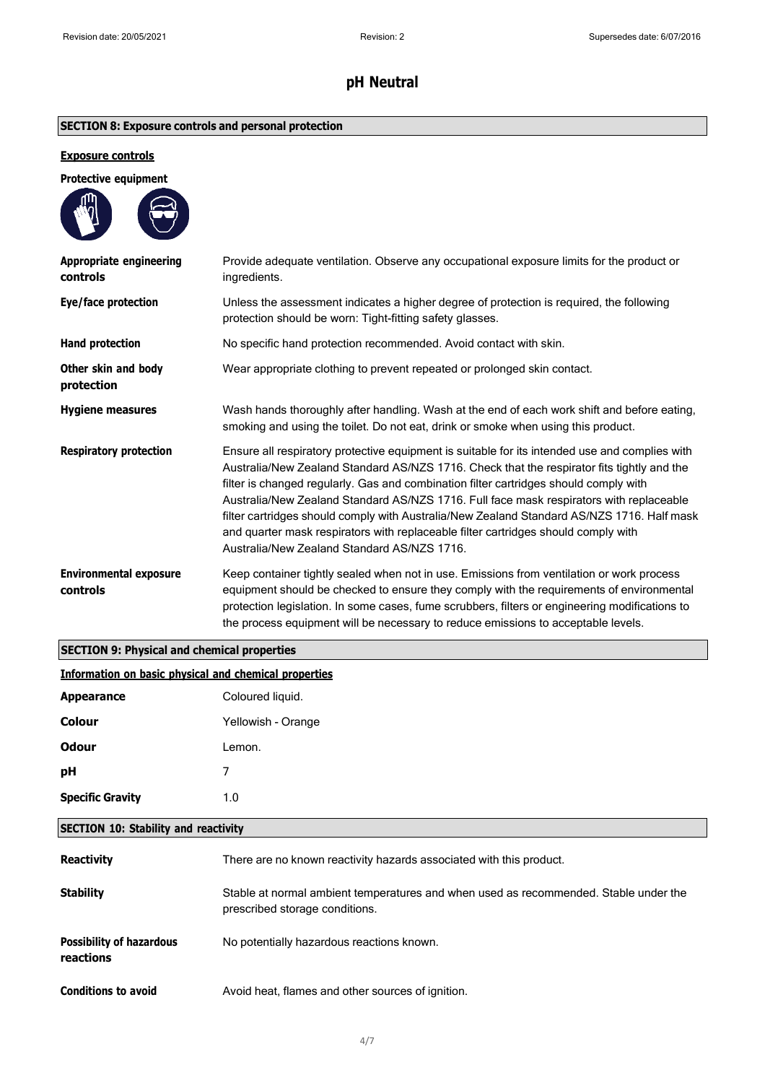## **SECTION 8: Exposure controls and personal protection**

### **Exposure controls**

|   | <b>Protective equipment</b> |
|---|-----------------------------|
| ⋒ |                             |

| Appropriate engineering<br>controls       | Provide adequate ventilation. Observe any occupational exposure limits for the product or<br>ingredients.                                                                                                                                                                                                                                                                                                                                                                                                                                                                                                           |
|-------------------------------------------|---------------------------------------------------------------------------------------------------------------------------------------------------------------------------------------------------------------------------------------------------------------------------------------------------------------------------------------------------------------------------------------------------------------------------------------------------------------------------------------------------------------------------------------------------------------------------------------------------------------------|
| Eye/face protection                       | Unless the assessment indicates a higher degree of protection is required, the following<br>protection should be worn: Tight-fitting safety glasses.                                                                                                                                                                                                                                                                                                                                                                                                                                                                |
| <b>Hand protection</b>                    | No specific hand protection recommended. Avoid contact with skin.                                                                                                                                                                                                                                                                                                                                                                                                                                                                                                                                                   |
| Other skin and body<br>protection         | Wear appropriate clothing to prevent repeated or prolonged skin contact.                                                                                                                                                                                                                                                                                                                                                                                                                                                                                                                                            |
| <b>Hygiene measures</b>                   | Wash hands thoroughly after handling. Wash at the end of each work shift and before eating,<br>smoking and using the toilet. Do not eat, drink or smoke when using this product.                                                                                                                                                                                                                                                                                                                                                                                                                                    |
| <b>Respiratory protection</b>             | Ensure all respiratory protective equipment is suitable for its intended use and complies with<br>Australia/New Zealand Standard AS/NZS 1716. Check that the respirator fits tightly and the<br>filter is changed regularly. Gas and combination filter cartridges should comply with<br>Australia/New Zealand Standard AS/NZS 1716. Full face mask respirators with replaceable<br>filter cartridges should comply with Australia/New Zealand Standard AS/NZS 1716. Half mask<br>and quarter mask respirators with replaceable filter cartridges should comply with<br>Australia/New Zealand Standard AS/NZS 1716. |
| <b>Environmental exposure</b><br>controls | Keep container tightly sealed when not in use. Emissions from ventilation or work process<br>equipment should be checked to ensure they comply with the requirements of environmental<br>protection legislation. In some cases, fume scrubbers, filters or engineering modifications to<br>the process equipment will be necessary to reduce emissions to acceptable levels.                                                                                                                                                                                                                                        |

### **SECTION 9: Physical and chemical properties**

| Information on basic physical and chemical properties |  |  |  |  |
|-------------------------------------------------------|--|--|--|--|
|                                                       |  |  |  |  |

| <b>Appearance</b>       | Coloured liquid.   |
|-------------------------|--------------------|
| Colour                  | Yellowish - Orange |
| <b>Odour</b>            | Lemon.             |
| pН                      | ⇁                  |
| <b>Specific Gravity</b> | 1.0                |
|                         |                    |

### **SECTION 10: Stability and reactivity**

| <b>Reactivity</b>                            | There are no known reactivity hazards associated with this product.                                                    |
|----------------------------------------------|------------------------------------------------------------------------------------------------------------------------|
| <b>Stability</b>                             | Stable at normal ambient temperatures and when used as recommended. Stable under the<br>prescribed storage conditions. |
| <b>Possibility of hazardous</b><br>reactions | No potentially hazardous reactions known.                                                                              |
| <b>Conditions to avoid</b>                   | Avoid heat, flames and other sources of ignition.                                                                      |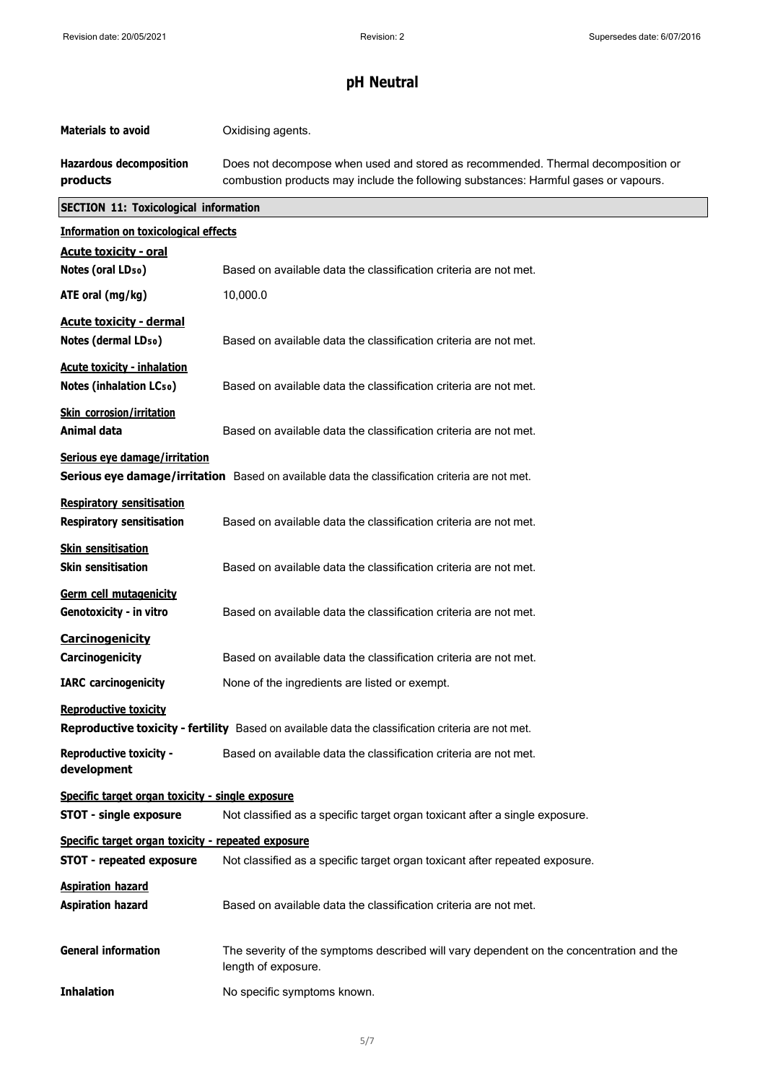| <b>Materials to avoid</b>                                            | Oxidising agents.                                                                                                                                                       |  |  |  |
|----------------------------------------------------------------------|-------------------------------------------------------------------------------------------------------------------------------------------------------------------------|--|--|--|
| <b>Hazardous decomposition</b><br>products                           | Does not decompose when used and stored as recommended. Thermal decomposition or<br>combustion products may include the following substances: Harmful gases or vapours. |  |  |  |
|                                                                      | <b>SECTION 11: Toxicological information</b>                                                                                                                            |  |  |  |
| <b>Information on toxicological effects</b>                          |                                                                                                                                                                         |  |  |  |
| <b>Acute toxicity - oral</b>                                         |                                                                                                                                                                         |  |  |  |
| Notes (oral LD <sub>50</sub> )                                       | Based on available data the classification criteria are not met.                                                                                                        |  |  |  |
| ATE oral (mg/kg)                                                     | 10,000.0                                                                                                                                                                |  |  |  |
| <b>Acute toxicity - dermal</b><br>Notes (dermal LD <sub>50</sub> )   | Based on available data the classification criteria are not met.                                                                                                        |  |  |  |
| <b>Acute toxicity - inhalation</b><br>Notes (inhalation LCso)        | Based on available data the classification criteria are not met.                                                                                                        |  |  |  |
| <b>Skin corrosion/irritation</b><br><b>Animal data</b>               | Based on available data the classification criteria are not met.                                                                                                        |  |  |  |
| Serious eye damage/irritation                                        | Serious eye damage/irritation Based on available data the classification criteria are not met.                                                                          |  |  |  |
| <b>Respiratory sensitisation</b><br><b>Respiratory sensitisation</b> | Based on available data the classification criteria are not met.                                                                                                        |  |  |  |
| <b>Skin sensitisation</b><br><b>Skin sensitisation</b>               | Based on available data the classification criteria are not met.                                                                                                        |  |  |  |
| Germ cell mutagenicity<br>Genotoxicity - in vitro                    | Based on available data the classification criteria are not met.                                                                                                        |  |  |  |
| Carcinogenicity<br>Carcinogenicity                                   | Based on available data the classification criteria are not met.                                                                                                        |  |  |  |
| <b>IARC</b> carcinogenicity                                          | None of the ingredients are listed or exempt.                                                                                                                           |  |  |  |
| <b>Reproductive toxicity</b>                                         | Reproductive toxicity - fertility Based on available data the classification criteria are not met.                                                                      |  |  |  |
| <b>Reproductive toxicity -</b><br>development                        | Based on available data the classification criteria are not met.                                                                                                        |  |  |  |
| Specific target organ toxicity - single exposure                     |                                                                                                                                                                         |  |  |  |
| <b>STOT - single exposure</b>                                        | Not classified as a specific target organ toxicant after a single exposure.                                                                                             |  |  |  |
| Specific target organ toxicity - repeated exposure                   |                                                                                                                                                                         |  |  |  |
| <b>STOT - repeated exposure</b>                                      | Not classified as a specific target organ toxicant after repeated exposure.                                                                                             |  |  |  |
| <b>Aspiration hazard</b><br><b>Aspiration hazard</b>                 | Based on available data the classification criteria are not met.                                                                                                        |  |  |  |
| <b>General information</b>                                           | The severity of the symptoms described will vary dependent on the concentration and the<br>length of exposure.                                                          |  |  |  |
| <b>Inhalation</b>                                                    | No specific symptoms known.                                                                                                                                             |  |  |  |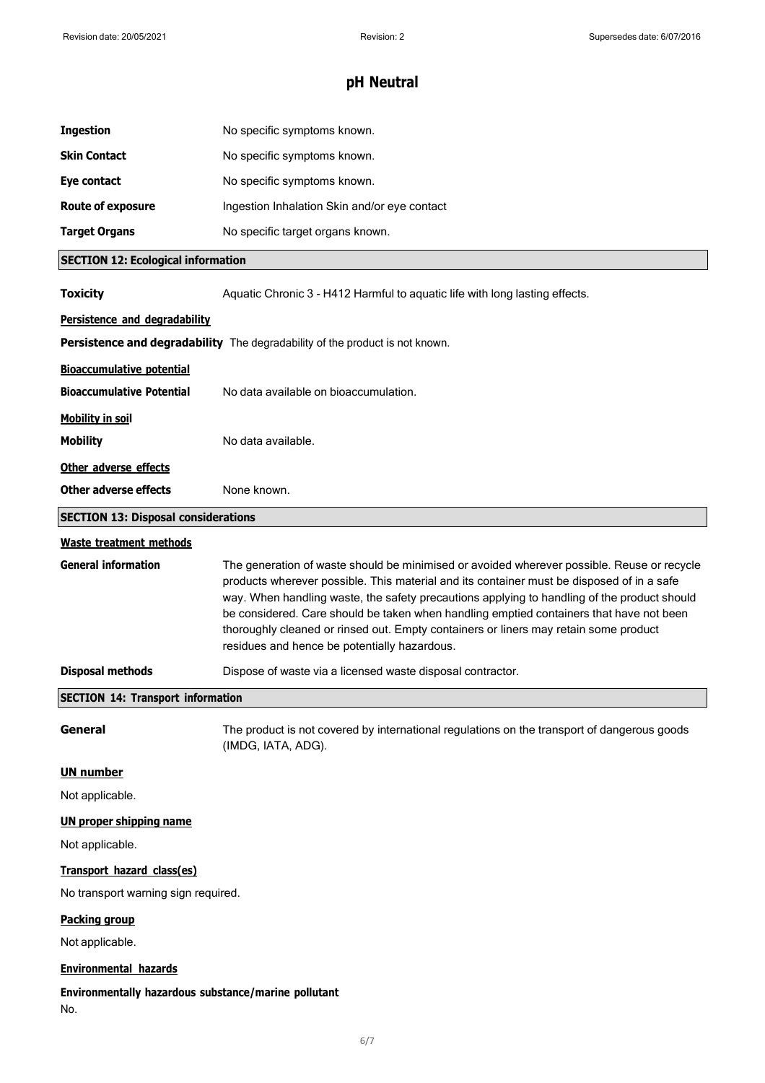| <b>Ingestion</b>                                            | No specific symptoms known.                                                                                                                                                                                                                                                                                                                                                                                                                                                                                               |  |
|-------------------------------------------------------------|---------------------------------------------------------------------------------------------------------------------------------------------------------------------------------------------------------------------------------------------------------------------------------------------------------------------------------------------------------------------------------------------------------------------------------------------------------------------------------------------------------------------------|--|
| <b>Skin Contact</b>                                         | No specific symptoms known.                                                                                                                                                                                                                                                                                                                                                                                                                                                                                               |  |
| Eye contact                                                 | No specific symptoms known.                                                                                                                                                                                                                                                                                                                                                                                                                                                                                               |  |
| <b>Route of exposure</b>                                    | Ingestion Inhalation Skin and/or eye contact                                                                                                                                                                                                                                                                                                                                                                                                                                                                              |  |
| <b>Target Organs</b>                                        | No specific target organs known.                                                                                                                                                                                                                                                                                                                                                                                                                                                                                          |  |
| <b>SECTION 12: Ecological information</b>                   |                                                                                                                                                                                                                                                                                                                                                                                                                                                                                                                           |  |
| <b>Toxicity</b>                                             | Aquatic Chronic 3 - H412 Harmful to aquatic life with long lasting effects.                                                                                                                                                                                                                                                                                                                                                                                                                                               |  |
| Persistence and degradability                               |                                                                                                                                                                                                                                                                                                                                                                                                                                                                                                                           |  |
|                                                             | Persistence and degradability The degradability of the product is not known.                                                                                                                                                                                                                                                                                                                                                                                                                                              |  |
| <b>Bioaccumulative potential</b>                            |                                                                                                                                                                                                                                                                                                                                                                                                                                                                                                                           |  |
| <b>Bioaccumulative Potential</b>                            | No data available on bioaccumulation.                                                                                                                                                                                                                                                                                                                                                                                                                                                                                     |  |
| <b>Mobility in soil</b>                                     |                                                                                                                                                                                                                                                                                                                                                                                                                                                                                                                           |  |
| <b>Mobility</b>                                             | No data available.                                                                                                                                                                                                                                                                                                                                                                                                                                                                                                        |  |
| Other adverse effects                                       |                                                                                                                                                                                                                                                                                                                                                                                                                                                                                                                           |  |
| <b>Other adverse effects</b>                                | None known.                                                                                                                                                                                                                                                                                                                                                                                                                                                                                                               |  |
| <b>SECTION 13: Disposal considerations</b>                  |                                                                                                                                                                                                                                                                                                                                                                                                                                                                                                                           |  |
| <b>Waste treatment methods</b>                              |                                                                                                                                                                                                                                                                                                                                                                                                                                                                                                                           |  |
| <b>General information</b>                                  | The generation of waste should be minimised or avoided wherever possible. Reuse or recycle<br>products wherever possible. This material and its container must be disposed of in a safe<br>way. When handling waste, the safety precautions applying to handling of the product should<br>be considered. Care should be taken when handling emptied containers that have not been<br>thoroughly cleaned or rinsed out. Empty containers or liners may retain some product<br>residues and hence be potentially hazardous. |  |
| <b>Disposal methods</b>                                     | Dispose of waste via a licensed waste disposal contractor.                                                                                                                                                                                                                                                                                                                                                                                                                                                                |  |
| <b>SECTION 14: Transport information</b>                    |                                                                                                                                                                                                                                                                                                                                                                                                                                                                                                                           |  |
| General                                                     | The product is not covered by international regulations on the transport of dangerous goods<br>(IMDG, IATA, ADG).                                                                                                                                                                                                                                                                                                                                                                                                         |  |
| <b>UN number</b>                                            |                                                                                                                                                                                                                                                                                                                                                                                                                                                                                                                           |  |
| Not applicable.                                             |                                                                                                                                                                                                                                                                                                                                                                                                                                                                                                                           |  |
| <b>UN proper shipping name</b>                              |                                                                                                                                                                                                                                                                                                                                                                                                                                                                                                                           |  |
| Not applicable.                                             |                                                                                                                                                                                                                                                                                                                                                                                                                                                                                                                           |  |
| Transport hazard class(es)                                  |                                                                                                                                                                                                                                                                                                                                                                                                                                                                                                                           |  |
| No transport warning sign required.                         |                                                                                                                                                                                                                                                                                                                                                                                                                                                                                                                           |  |
| <b>Packing group</b>                                        |                                                                                                                                                                                                                                                                                                                                                                                                                                                                                                                           |  |
| Not applicable.                                             |                                                                                                                                                                                                                                                                                                                                                                                                                                                                                                                           |  |
| <b>Environmental hazards</b>                                |                                                                                                                                                                                                                                                                                                                                                                                                                                                                                                                           |  |
| Environmentally hazardous substance/marine pollutant<br>No. |                                                                                                                                                                                                                                                                                                                                                                                                                                                                                                                           |  |